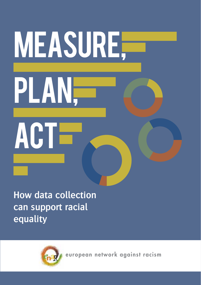# Measure, plan, ACTE

**How data collection can support racial equality**



european network against racism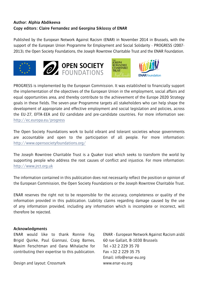## **Author: Alphia Abdikeeva Copy editors: Claire Fernandez and Georgina Siklossy of ENAR**

Published by the European Network Against Racism (ENAR) in November 2014 in Brussels, with the support of the European Union Programme for Employment and Social Solidarity - PROGRESS (2007- 2013), the Open Society Foundations, the Joseph Rowntree Charitable Trust and the ENAR Foundation.









PROGRESS is implemented by the European Commission. It was established to financially support the implementation of the objectives of the European Union in the employment, social affairs and equal opportunities area, and thereby contribute to the achievement of the Europe 2020 Strategy goals in these fields. The seven-year Programme targets all stakeholders who can help shape the development of appropriate and effective employment and social legislation and policies, across the EU-27, EFTA-EEA and EU candidate and pre-candidate countries. For more information see: http://ec.europa.eu/progress

The Open Society Foundations work to build vibrant and tolerant societies whose governments are accountable and open to the participation of all people. For more information: http://www.opensocietyfoundations.org/

The Joseph Rowntree Charitable Trust is a Quaker trust which seeks to transform the world by supporting people who address the root causes of conflict and injustice. For more information: http://www.jrct.org.uk

The information contained in this publication does not necessarily reflect the position or opinion of the European Commission, the Open Society Foundations or the Joseph Rowntree Charitable Trust.

ENAR reserves the right not to be responsible for the accuracy, completeness or quality of the information provided in this publication. Liability claims regarding damage caused by the use of any information provided, including any information which is incomplete or incorrect, will therefore be rejected.

#### **Acknowledgments**

ENAR would like to thank Ronnie Fay, Brigid Quirke, Paul Giannasi, Craig Barnes, Maxim Ferschtman and Oana Mihalache for contributing their expertise to this publication.

Design and layout: Crossmark

ENAR - European Network Against Racism aisbl 60 rue Gallait, B-1030 Brussels  $Tel + 32 2 229 35 70$ Fax +32 2 229 35 75 Email: info@enar-eu.org www.enar-eu.org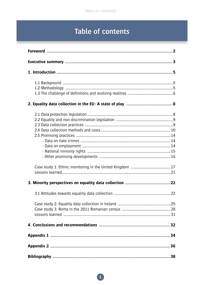# Table of contents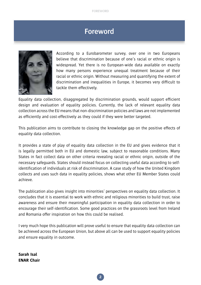# **Foreword**



According to a Eurobarometer survey, over one in two Europeans believe that discrimination because of one's racial or ethnic origin is widespread. Yet there is no European-wide data available on exactly how many persons experience unequal treatment because of their racial or ethnic origin. Without measuring and quantifying the extent of discrimination and inequalities in Europe, it becomes very difficult to tackle them effectively.

Equality data collection, disaggregated by discrimination grounds, would support efficient design and evaluation of equality policies. Currently, the lack of relevant equality data collection across the EU means that non-discrimination policies and laws are not implemented as efficiently and cost-effectively as they could if they were better targeted.

This publication aims to contribute to closing the knowledge gap on the positive effects of equality data collection.

It provides a state of play of equality data collection in the EU and gives evidence that it is legally permitted both in EU and domestic law, subject to reasonable conditions. Many States in fact collect data on other criteria revealing racial or ethnic origin, outside of the necessary safeguards. States should instead focus on collecting useful data according to selfidentification of individuals at risk of discrimination. A case study of how the United Kingdom collects and uses such data in equality policies, shows what other EU Member States could achieve.

The publication also gives insight into minorities' perspectives on equality data collection. It concludes that it is essential to work with ethnic and religious minorities to build trust, raise awareness and ensure their meaningful participation in equality data collection in order to encourage their self-identification. Some good practices on the grassroots level from Ireland and Romania offer inspiration on how this could be realised.

I very much hope this publication will prove useful to ensure that equality data collection can be achieved across the European Union, but above all can be used to support equality policies and ensure equality in outcome.

**Sarah Isal ENAR Chair**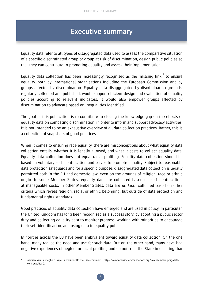# **Executive summary**

Equality data refer to all types of disaggregated data used to assess the comparative situation of a specific discriminated group or group at risk of discrimination, design public policies so that they can contribute to promoting equality and assess their implementation.

Equality data collection has been increasingly recognised as the 'missing link' $^1$  to ensure equality, both by international organisations including the European Commission and by groups affected by discrimination. Equality data disaggregated by discrimination grounds, regularly collected and published, would support efficient design and evaluation of equality policies according to relevant indicators. It would also empower groups affected by discrimination to advocate based on inequalities identified.

The goal of this publication is to contribute to closing the knowledge gap on the effects of equality data on combating discrimination, in order to inform and support advocacy activities. It is not intended to be an exhaustive overview of all data collection practices. Rather, this is a collection of snapshots of good practices.

When it comes to ensuring race equality, there are misconceptions about what equality data collection entails, whether it is legally allowed, and what it costs to collect equality data. Equality data collection does not equal racial profiling. Equality data collection should be based on voluntary self-identification and serves to promote equality. Subject to reasonable data protection safeguards and for a specific purpose, disaggregated data collection is legally permitted both in the EU and domestic law, even on the grounds of religion, race or ethnic origin. In some Member States, equality data are collected based on self-identification, at manageable costs. In other Member States, data are de facto collected based on other criteria which reveal religion, racial or ethnic belonging, but outside of data protection and fundamental rights standards.

Good practices of equality data collection have emerged and are used in policy. In particular, the United Kingdom has long been recognised as a success story, by adopting a public sector duty and collecting equality data to monitor progress, working with minorities to encourage their self-identification, and using data in equality policies.

Minorities across the EU have been ambivalent toward equality data collection. On the one hand, many realise the need and use for such data. But on the other hand, many have had negative experiences of neglect or racial profiling and do not trust the State in ensuring that

<sup>1</sup> Jozefien Van Caeneghem, Vrije Universiteit Brussel, see comments: http://www.opensocietyfoundations.org/voices/making-big-datawork-equality-0.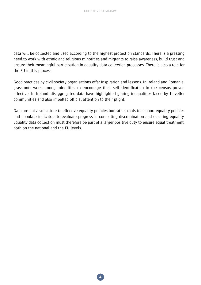data will be collected and used according to the highest protection standards. There is a pressing need to work with ethnic and religious minorities and migrants to raise awareness, build trust and ensure their meaningful participation in equality data collection processes. There is also a role for the EU in this process.

Good practices by civil society organisations offer inspiration and lessons. In Ireland and Romania, grassroots work among minorities to encourage their self-identification in the census proved effective. In Ireland, disaggregated data have highlighted glaring inequalities faced by Traveller communities and also impelled official attention to their plight.

Data are not a substitute to effective equality policies but rather tools to support equality policies and populate indicators to evaluate progress in combating discrimination and ensuring equality. Equality data collection must therefore be part of a larger positive duty to ensure equal treatment, both on the national and the EU levels.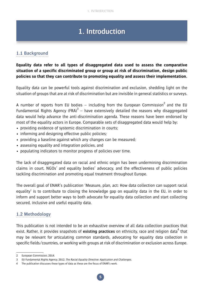# **1. Introduction**

# **1.1 Background**

## **Equality data refer to all types of disaggregated data used to assess the comparative situation of a specific discriminated group or group at risk of discrimination, design public policies so that they can contribute to promoting equality and assess their implementation.**

Equality data can be powerful tools against discrimination and exclusion, shedding light on the situation of groups that are at risk of discrimination but are invisible in general statistics or surveys.

A number of reports from EU bodies – including from the European Commission<sup>2</sup> and the EU Fundamental Rights Agency (FRA) $3$  – have extensively detailed the reasons why disaggregated data would help advance the anti-discrimination agenda. These reasons have been endorsed by most of the equality actors in Europe. Comparable sets of disaggregated data would help by:

- providing evidence of systemic discrimination in courts;
- informing and designing effective public policies;
- providing a baseline against which any changes can be measured;
- assessing equality and integration policies, and
- populating indicators to monitor progress of policies over time.

The lack of disaggregated data on racial and ethnic origin has been undermining discrimination claims in court, NGOs' and equality bodies' advocacy, and the effectiveness of public policies tackling discrimination and promoting equal treatment throughout Europe.

The overall goal of ENAR's publication 'Measure, plan, act: How data collection can support racial equality' is to contribute to closing the knowledge gap on equality data in the EU, in order to inform and support better ways to both advocate for equality data collection and start collecting secured, inclusive and useful equality data.

# **1.2 Methodology**

This publication is not intended to be an exhaustive overview of all data collection practices that exist. Rather, it provides snapshots of existing practices on ethnicity, race and religion data<sup>4</sup> that may be relevant for articulating common standards, advocating for equality data collection in specific fields/countries, or working with groups at risk of discrimination or exclusion across Europe.

<sup>2</sup> European Commission, 2014.

<sup>3</sup> EU Fundamental Rights Agency. 2012. The Racial Equality Directive: Application and Challenges.

<sup>4</sup> The publication discusses these types of data as these are the focus of ENAR's work.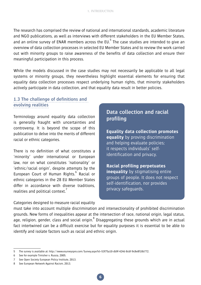The research has comprised the review of national and international standards, academic literature and NGO publications, as well as interviews with different stakeholders in the EU Member States, and an online survey of ENAR members across the EU. $^5$  The case studies are intended to give an overview of data collection processes in selected EU Member States and to review the work carried out with minority groups to raise awareness of the benefits of data collection and ensure their meaningful participation in this process.

While the models discussed in the case studies may not necessarily be applicable to all legal systems or minority groups, they nevertheless highlight essential elements for ensuring that equality data collection processes respect underlying human rights, that minority stakeholders actively participate in data collection, and that equality data result in better policies.

# **1.3 The challenge of definitions and evolving realities**

Terminology around equality data collection is generally fraught with uncertainties and controversy. It is beyond the scope of this publication to delve into the merits of different racial or ethnic categories.

There is no definition of what constitutes a 'minority' under international or European law, nor on what constitutes 'nationality' or 'ethnic/racial origin', despite attempts by the European Court of Human Rights.<sup>6</sup> Racial or ethnic categories in the 28 EU Member States differ in accordance with diverse traditions, realities and political context.<sup>7</sup>

# **Data collection and racial profiling**

**Equality data collection promotes equality** by proving discrimination and helping evaluate policies; it respects individuals' selfidentification and privacy.

**Racial profiling perpetuates inequality** by stigmatising entire groups of people. It does not respect self-identification, nor provides privacy safeguards.

Categories designed to measure racial equality

must take into account multiple discrimination and intersectionality of prohibited discrimination grounds. New forms of inequalities appear at the intersection of race, national origin, legal status, age, religion, gender, class and social origin.<sup>8</sup> Disaggregating these grounds which are in actual fact intertwined can be a difficult exercise but for equality purposes it is essential to be able to identify and isolate factors such as racial and ethnic origin.

<sup>5</sup> The survey is available at: http://www.esurveyspro.com/Survey.aspx?id=53f75a10-db9f-424d-8c6f-9c8e8f10b772.

<sup>6</sup> See for example Timisher v. Russia, 2005.

<sup>7</sup> See Open Society European Policy Institute, 2013.

<sup>8</sup> See European Network Against Racism, 2013.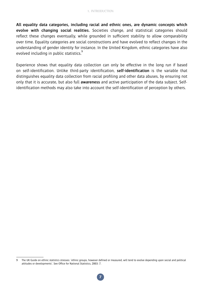**All equality data categories, including racial and ethnic ones, are dynamic concepts which evolve with changing social realities.** Societies change, and statistical categories should reflect these changes eventually, while grounded in sufficient stability to allow comparability over time. Equality categories are social constructions and have evolved to reflect changes in the understanding of gender identity for instance. In the United Kingdom, ethnic categories have also evolved including in public statistics.<sup>9</sup>

Experience shows that equality data collection can only be effective in the long run if based on self-identification. Unlike third-party identification, **self-identification** is the variable that distinguishes equality data collection from racial profiling and other data abuses, by ensuring not only that it is accurate, but also full **awareness** and active participation of the data subject. Selfidentification methods may also take into account the self-identification of perception by others.

The UK Guide on ethnic statistics stresses: 'ethnic groups, however defined or measured, will tend to evolve depending upon social and political attitudes or developments'. See Office for National Statistics, 2003: 7.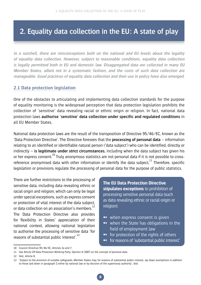# **2. Equality data collection in the EU: A state of play**

**In a nutshell, there are misconceptions both on the national and EU levels about the legality of equality data collection. However, subject to reasonable conditions, equality data collection is legally permitted both in EU and domestic law. Disaggregated data are collected in many EU Member States, albeit not in a systematic fashion, and the costs of such data collection are manageable. Good practices of equality data collection and their use in policy have also emerged.** 

## **2.1 Data protection legislation**

One of the obstacles to articulating and implementing data collection standards for the purpose of equality monitoring is the widespread perception that data protection legislation prohibits the collection of 'sensitive' data revealing racial or ethnic origin or religion. In fact, national data protection laws **authorise 'sensitive' data collection under specific and regulated conditions** in all EU Member States.

National data protection laws are the result of the transposition of Directive 95/46/EC, known as the 'Data Protection Directive'. The Directive foresees that the **processing of personal data** – information relating to an identified or identifiable natural person ('data subject') who can be identified, directly or indirectly – **is legitimate under strict circumstances**, including when the data subject has given his or her express consent.10 Truly anonymous statistics are not personal data if it is not possible to crossreference anonymised data with other information or identify the data subiect.<sup>11</sup> Therefore, specific legislation or provisions regulate the processing of personal data for the purpose of public statistics.

There are further restrictions to the processing of sensitive data, including data revealing ethnic or racial origin and religion, which can only be legal under special exceptions, such as express consent or protection of vital interest of the data subject, or data collection on an association's members.<sup>12</sup> The Data Protection Directive also provides for flexibility in States' appreciation of their national context, allowing national legislation to authorise the processing of sensitive data 'for reasons of substantial public interest'.<sup>13</sup>

**The EU Data Protection Directive stipulates exceptions** to prohibition of processing sensitive personal data (such as data revealing ethnic or racial origin or religion):

- ➻ when express consent is given
- ➻ when the State has obligations in the field of employment law
- **→** for protection of the rights of others
- ➻ for reasons of 'substantial public interest'

<sup>10</sup> Council Directive 95/46/EC, Articles 2a and 7.

<sup>11</sup> See Article 29 Data Protection Working Party, Opinion 4/2007 on the concept of personal data.

<sup>12</sup> Ibid., Article 8.

<sup>13 &#</sup>x27;Subject to the provision of suitable safeguards, Member States may, for reasons of substantial public interest, lay down exemptions in addition to those laid down in paragraph 2 either by national law or by decision of the supervisory authority', Ibid.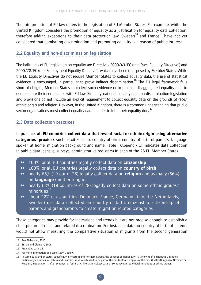The interpretation of EU law differs in the legislation of EU Member States. For example, while the United Kingdom considers the promotion of equality as a justification for equality data collection, therefore adding exceptions to their data protection law. Sweden $^{14}$  and France<sup>15</sup> have not yet considered that combating discrimination and promoting equality is a reason of public interest.

## **2.2 Equality and non-discrimination legislation**

The hallmarks of EU legislation on equality are Directives 2000/43/EC (the 'Race Equality Directive') and 2000/78/EC (the 'Employment Equality Directive'), which have been transposed by Member States. While the EU Equality Directives do not require Member States to collect equality data, the use of statistical evidence is encouraged, in particular to prove indirect discrimination.<sup>16</sup> The EU legal framework falls short of obliging Member States to collect such evidence or to produce disaggregated equality data to demonstrate their compliance with EU law. Similarly, national equality and non-discrimination legislation and provisions do not include an explicit requirement to collect equality data on the grounds of race/ ethnic origin and religion. However, in the United Kingdom, there is a common understanding that public sector organisations must collect equality data in order to fulfil their equality duty.<sup>17</sup>

# **2.3 Data collection practices**

In practice, **all EU countries collect data that reveal racial or ethnic origin using alternative categories (proxies)**, such as citizenship, country of birth, country of birth of parents, language spoken at home, migration background and name. Table I (Appendix 1) indicates data collection in public data (census, surveys, administrative registers) in each of the 28 EU Member States.

- ➻ 100%, or all EU countries legally collect data on **citizenship**
- ➻ 100%, or all EU countries legally collect data on **country of birth**
- ➻ nearly 66% (19 out of 28) legally collect data on **religion** and as many (66%) on **language** (mother tongue)
- ➻ nearly 63% (18 countries of 28) legally collect data on some ethnic groups/  $minorities<sup>18</sup>$
- ➻ about 22% (six countries: Denmark, France, Germany, Italy, the Netherlands, Sweden) use data collected on country of birth, citizenship, citizenship of parents and grandparents to create migration related categories

These categories may provide for indications and trends but are not precise enough to establish a clear picture of racial and related discrimination. For instance, data on country of birth of parents would not allow measuring the comparative situation of migrants from the second generation

<sup>14</sup> See Al-Zubaidi, 2012.

<sup>15</sup> Simon and Clement, 2006.

<sup>16</sup> Preamble, para. 15.

<sup>17</sup> For more information, see case study 1 below.

<sup>18</sup> In some EU Member States, specifically in Western and Northern Europe, the concept of 'nationality' is synonym of 'citizenship'. In others, particularly countries in Eastern and Central Europe which used to be part of the multi-ethnic empires of the past (Austro-Hungarian, Ottoman or Russian), 'nationality' is often synonym of 'ethnicity'. The latter collect data on some recognised official minorities or ethnic groups.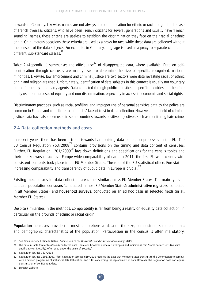onwards in Germany. Likewise, names are not always a proper indication for ethnic or racial origin. In the case of French overseas citizens, who have been French citizens for several generations and usually have 'French sounding' names, these criteria are useless to establish the discrimination they face on their racial or ethnic origin. On numerous occasions these criteria are used as a proxy for race while these data are collected without the consent of the data subjects. For example, in Germany, language is used as a proxy to separate children in different, sub-standard classes.<sup>19</sup>

Table 2 (Appendix II) summarises the official use<sup>20</sup> of disaggregated data, where available. Data on selfidentification through censuses are mainly used to determine the size of specific, recognised, national minorities. Likewise, law enforcement and criminal justice are two sectors were data revealing racial or ethnic origin and religion are used. Unfortunately, identification of data subjects in this context is usually not voluntary but performed by third party agents. Data collected through public statistics or specific enquiries are therefore rarely used for purposes of equality and non-discrimination, especially in access to economic and social rights.

Discriminatory practices, such as racial profiling, and improper use of personal sensitive data by the police are common in Europe and contribute to minorities' lack of trust in data collection. However, in the field of criminal justice, data have also been used in some countries towards positive objectives, such as monitoring hate crime.

## **2.4 Data collection methods and costs**

In recent years, there has been a trend towards harmonising data collection processes in the EU. The EU Census Regulation  $763/2008^{21}$  contains provisions on the timing and data content of censuses. Further. EU Regulation  $1201/2009^{22}$  lays down definitions and specifications for the census topics and their breakdowns to achieve Europe-wide comparability of data. In 2011, the first EU-wide census with consistent contents took place in all EU Member States. The role of the EU statistical office, Eurostat, in increasing comparability and transparency of public data in Europe is crucial.<sup>23</sup>

Existing mechanisms for data collection are rather similar across EU Member States. The main types of data are: **population censuses** (conducted in most EU Member States); **administrative registers** (collected in all Member States); and **household surveys**, conducted on an ad hoc basis in selected fields (in all Member EU States).

Despite similarities in the methods, comparability is far from being a reality on equality data collection, in particular on the grounds of ethnic or racial origin.

**Population censuses** provide the most comprehensive data on the size, composition, socio-economic and demographic characteristics of the population. Participation in the census is often mandatory,

<sup>19</sup> See Open Society Justice Initiative, Submission to the Universal Periodic Review of Germany, 2013.

<sup>20</sup> The data in Table 2 refer to *officially* collected data. There are, however, numerous examples and indications that States collect sensitive data unofficially (or illegally), often used under the guise of 'security'.

<sup>21</sup> Regulation (EC) No 763/2008.

<sup>22</sup> Regulation (EC) No 1201/2009. Also, Regulation (EU) No 519/2010 requires the data that Member States transmit to the Commission to comply with a defined programme of statistical data (tabulation) and rules concerning the replacement of data. However, the Regulation does not require transmission of confidential data.

<sup>23</sup> Eurostat website.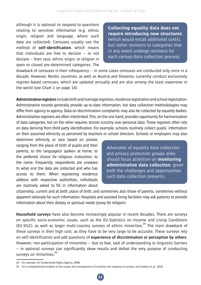although it is optional to respond to questions relating to sensitive information (e.g. ethnic origin, religion and language, where such data are collected). Censuses usually use the method of **self-identification**, which means that individuals are free to declare – or not declare – their race, ethnic origin, or religion in open or closed pre-determined categories. The

**Collecting equality data does not require introducing new structures** (which would entail additional costs), but rather revisions to categories that in any event undergo revisions for each census/data collection process.

drawback of censuses is their infrequency  $-$  in some cases censuses are conducted only once in a decade. However, Nordic countries, as well as Austria and Slovenia, currently conduct exclusively register-based censuses, which are updated annually and are also among the least expensive in the world (see Chart 1 on page 14).

**Administrative registers** include birth and marriage registries, residence registration and school registration. Administrative records generally provide up-to-date information, but data collection methodologies may differ from agency to agency. Data on discrimination complaints may also be collected by equality bodies. Administrative registers are often interlinked. This, on the one hand, provides opportunity for harmonisation of data categories, but on the other requires stricter scrutiny over personal data. These registers often rely on data deriving from third-party identification. For example, schools routinely collect pupils' information on their assumed ethnicity as perceived by teachers or school directors. Schools or employers may also

determine ethnicity or race based on proxies ranging from the place of birth of pupils and their parents, to the language(s) spoken at home, to the preferred choice for religious instruction, to the name. Frequently, respondents are unaware to what end the data are collected and who has access to them. When registering residence address with respective authorities, individuals are routinely asked to fill in information about

Advocates of equality data collection and privacy protection groups alike should focus attention on **monitoring administrative data collection**, given both the challenges and opportunities such data collection presents.

citizenship, current and at birth, place of birth, and sometimes also those of parents, sometimes without apparent rationale for such information. Hospitals and assisted living facilities may ask patients to provide information about their dietary or spiritual needs (proxy for religion).

**Household surveys** have also become increasingly popular in recent decades. There are surveys on specific socio-economic issues, such as the EU-Statistics on Income and Living Conditions (EU-SILC), as well as larger multi-country surveys of ethnic minorities.<sup>24</sup> The main drawback of these surveys is their high cost, as they have to be very large to be accurate. These surveys rely on self-identification and add questions of **experience of discrimination or perception by others**. However, non-participation of minorities – due to fear, lack of understanding or linguistic barriers – in optional surveys can significantly skew results and defeat the very purpose of conducting surveys on minorities.<sup>25</sup>

<sup>24</sup> For example, EU Fundamental Rights Agency, 2009.

<sup>25</sup> For a comprehensive analysis of the causes and consequences of minority non-response to surveys, see Feskens et al., 2010.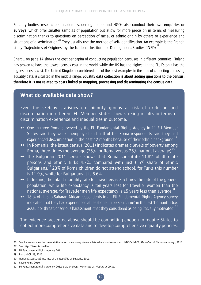Equality bodies, researchers, academics, demographers and NGOs also conduct their own **enquiries or surveys**, which offer smaller samples of population but allow for more precision in terms of measuring discrimination thanks to questions on perception of racial or ethnic origin by others or experience and situations of discrimination.<sup>26</sup> They usually use the method of self-identification. An example is the French study 'Trajectoires et Origines' by the National Institute for Demographic Studies (INED).<sup>27</sup>

Chart 1 on page 14 shows the cost per capita of conducting population censuses in different countries. Finland has proven to have the lowest census cost in the world, while the US has the highest. In the EU, Estonia has the highest census cost. The United Kingdom, considered one of the best examples in the area of collecting and using equality data, is situated in the middle range. **Equality data collection is about adding questions to the census, therefore it is not related to costs linked to mapping, processing and disseminating the census data.**

# **What do available data show?**

Even the sketchy statistics on minority groups at risk of exclusion and discrimination in different EU Member States show striking results in terms of discrimination experience and inequalities in outcome.

- ➻ One in three Roma surveyed by the EU Fundamental Rights Agency in 11 EU Member States said they were unemployed and half of the Roma respondents said they had experienced discrimination in the past 12 months because of their ethnic background.<sup>28</sup>
- ➻ In Romania, the latest census (2011) indicates dramatic levels of poverty among Roma, three times the average (75% for Roma versus 25% national average).<sup>29</sup>
- ➻ The Bulgarian 2011 census shows that Roma constitute 11.8% of illiterate persons and ethnic Turks 4.7%, compared with just 0.5% share of ethnic Bulgarians.30 23% of Roma children do not attend school, for Turks this number is 11.9%, while for Bulgarians it is 5.6%.
- ➻ In Ireland, the infant mortality rate for Travellers is 3.5 times the rate of the general population, while life expectancy is ten years less for Traveller women than the national average; for Traveller men life expectancy is 15 years less than average. $31$
- ➻ 18 % of all sub-Saharan African respondents in an EU Fundamental Rights Agency survey indicated that they had experienced at least one 'in person crime' in the last 12 months (i.e. assault or threat, or serious harassment) that they considered as being 'racially motivated'.<sup>32</sup>

The evidence presented above should be compelling enough to require States to collect more comprehensive data and to develop comprehensive equality policies.

27 See http://teo.site.ined.fr/.

<sup>26</sup> See, for example, on the use of victimisation crime surveys to complete administrative sources: UNDOC-UNECE, Manual on victimisation surveys, 2010.

<sup>28</sup> EU Fundamental Rights Agency, 2011.

<sup>29</sup> Romani CRISS, 2013.

<sup>30</sup> National Statistical Institute of the Republic of Bulgaria, 2011.

<sup>31</sup> Pavee Point, 2010.

<sup>32</sup> EU Fundamental Rights Agency. 2012. Data in Focus: Minorities as Victims of Crime.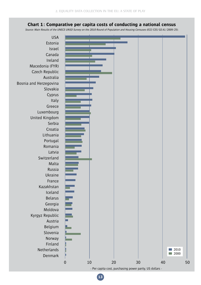#### **Chart 1: Comparative per capita costs of conducting a national census**

Source: Main Results of the UNECE-UNSD Survey on the 2010 Round of Population and Housing Censuses (ECE/CES/GE.41/2009/25).

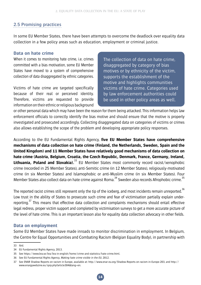# **2.5 Promising practices**

In some EU Member States, there have been attempts to overcome the deadlock over equality data collection in a few policy areas such as education, employment or criminal justice.

#### **Data on hate crime**

When it comes to monitoring hate crime, i.e. crimes committed with a bias motivation, some EU Member States have moved to a system of comprehensive collection of data disaggregated by ethnic categories.

Victims of hate crime are targeted specifically because of their real or perceived identity. Therefore, victims are requested to provide information on their ethnic or religious background

The collection of data on hate crime, disaggregated by category of bias motives or by ethnicity of the victim, supports the establishment of the motive and highlights communities victims of hate crime. Categories used by law enforcement authorities could be used in other policy areas as well.

or other personal data which may have been the reason for them being attacked. This information helps law enforcement officials to correctly identify the bias motive and should ensure that the motive is properly investigated and prosecuted accordingly. Collecting disaggregated data on categories of victims or crimes also allows establishing the scope of the problem and developing appropriate policy responses.

According to the EU Fundamental Rights Agency, **five EU Member States have comprehensive mechanisms of data collection on hate crime (Finland, the Netherlands, Sweden, Spain and the United Kingdom) and 11 Member States have relatively good mechanisms of data collection on hate crime (Austria, Belgium, Croatia, the Czech Republic, Denmark, France, Germany, Ireland, Lithuania. Poland and Slovakia).**<sup>33</sup> EU Member States most commonly record racist/xenophobic crime (recorded in 25 Member States), anti-Semitic crime (in 12 Member States), religiously-motivated crime (in six Member States) and Islamophobic or anti-Muslim crime (in six Member States). Four Member States also collect data on hate crime against Roma.<sup>34</sup> Sweden also records Afrophobic crime.<sup>35</sup>

The reported racist crimes still represent only the tip of the iceberg, and most incidents remain unreported.<sup>36</sup> Low trust in the ability of States to prosecute such crime and fear of victimisation partially explain underreporting.<sup>37</sup> This means that effective data collection and complaints mechanisms should entail effective legal redress, proper victim support and completed by victimisation surveys to get a more accurate picture of the level of hate crime. This is an important lesson also for equality data collection advocacy in other fields.

#### **Data on employment**

Some EU Member States have made inroads to monitor discrimination in employment. In Belgium, the Centre for Equal Opportunities and Combating Racism (Belgian Equality Body), in partnership with

<sup>33</sup> Ibid.

<sup>34</sup> EU Fundamental Rights Agency, 2013.

<sup>35</sup> See https://www.bra.se/bra/bra-in-english/home/crime-and-statistics/hate-crime.html.

<sup>36</sup> See EU Fundamental Rights Agency, Making hate crime visible in the EU, 2012.

<sup>37</sup> See ENAR Shadow Reports on racism in Europe, available at: http://www.enar-eu.org/Shadow-Reports-on-racism-in-Europe-203, and http:// www.enargywebzine.eu/spip.php?article304&lang=en.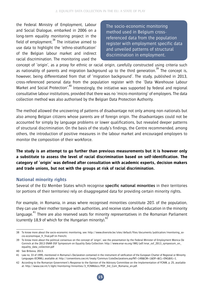the Federal Ministry of Employment, Labour and Social Dialogue, embarked in 2006 on a long-term equality monitoring project in the field of employment. $38$  The initiative aimed to use data to highlight the 'ethno-stratification' of the Belgian labour market and indirect racial discrimination. The monitoring used the

The socio-economic monitoring method used in Belgium crossreferenced data from the population register with employment specific data and unveiled patterns of structural discrimination in employment.

concept of 'origin', as a proxy for ethnic or racial origin, carefully constructed using criteria such as nationality of parents and migration background up to the third generation.<sup>39</sup> The concept is, however, being differentiated from that of 'migration background'. The study, published in 2013, cross-referenced personal data from the population register with the 'Data Warehouse Labour Market and Social Protection<sup>'40</sup> Interestingly, the initiative was supported by federal and regional consultative labour institutions, provided that there was no 'micro-monitoring' of employers. The data collection method was also authorised by the Belgian Data Protection Authority.

The method allowed the uncovering of patterns of disadvantage not only among non-nationals but also among Belgian citizens whose parents are of foreign origin. The disadvantages could not be accounted for simply by language problems or lower qualifications, but revealed deeper patterns of structural discrimination. On the basis of the study's findings, the Centre recommended, among others, the introduction of positive measures in the labour market and encouraged employers to monitor the composition of their workforce.

**The study is an attempt to go further than previous measurements but it is however only a substitute to assess the level of racial discrimination based on self-identification. The category of 'origin' was defined after consultation with academic experts, decision makers and trade unions, but not with the groups at risk of racial discrimination.** 

## **National minority rights**

Several of the EU Member States which recognise **specific national minorities** in their territories (or portions of their territories) rely on disaggregated data for providing certain minority rights.

For example, in Romania, in areas where recognised minorities constitute 20% of the population, they can use their mother tongue with authorities, and receive state-funded education in the minority language.<sup>41</sup> There are also reserved seats for minority representatives in the Romanian Parliament (currently 18.9 of which for the Hungarian minority). $42$ 

<sup>38</sup> To know more about the socio-economic monitoring, see: http://www.diversite.be/sites/default/files/documents/publication/monitoring\_socio-economique\_fr\_final.pdf (in French).

<sup>39</sup> To know more about the political consensus on the concept of 'origin', see the presentation by the Federal Minister of Employment Monica De Coninck at the 2013 ENAR OSF Symposium on Equality Data Collection: http://www.enar-eu.org/IMG/pdf/enar\_osf\_2013\_symposium\_on\_ equality\_data\_collection.pdf

<sup>40</sup> See Bribosia, 2013.

<sup>41</sup> Law no. 33 of 1995, mentioned in Romania's Declaration contained in the instrument of ratification of the European Charter of Regional or Minority Languages (ECRML), available at: http://conventions.coe.int/treaty/Commun/ListeDeclarations.asp?NT=148&CM=1&DF=&CL=ENG&VL=1.

<sup>42</sup> According to the Romanian Government's Response to the Opinion of the Advisory Committee on the Implementation of FCNM, p. 25, available at: http://www.coe.int/t/dghl/monitoring/minorities/3\_FCNMdocs/PDF\_3rd\_Com\_Romania\_en.pdf.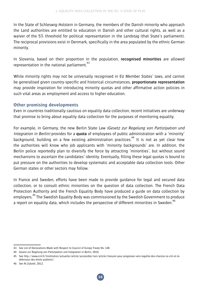In the State of Schleswig-Holstein in Germany, the members of the Danish minority who approach the Land authorities are entitled to education in Danish and other cultural rights, as well as a waiver of the 5% threshold for political representation in the Landstag (that State's parliament). The reciprocal provisions exist in Denmark, specifically in the area populated by the ethnic German minority.

In Slovenia, based on their proportion in the population, **recognised minorities** are allowed representation in the national parliament. $43$ 

While minority rights may not be universally recognised in EU Member States' laws, and cannot be generalised given country-specific and historical circumstances, **proportionate representation** may provide inspiration for introducing minority quotas and other affirmative action policies in such vital areas as employment and access to higher education.

## **Other promising developments**

Even in countries traditionally cautious on equality data collection, recent initiatives are underway that promise to bring about equality data collection for the purposes of monitoring equality.

For example, in Germany, the new Berlin State Law (Gesetz zur Regelung von Partizipation und Integration in Berlin) provides for a **quota** of employees of public administration with a 'minority' background, building on a few existing administration practices.<sup>44</sup> It is not as yet clear how the authorities will know who job applicants with 'minority backgrounds' are. In addition, the Berlin police reportedly plan to diversify the force by attracting 'minorities', but without sound mechanisms to ascertain the candidates' identity. Eventually, filling these legal quotas is bound to put pressure on the authorities to develop systematic and acceptable data collection tools. Other German states or other sectors may follow.

In France and Sweden, efforts have been made to provide guidance for legal and secured data collection, or to consult ethnic minorities on the question of data collection. The French Data Protection Authority and the French Equality Body have produced a guide on data collection by employers.<sup>45</sup> The Swedish Equality Body was commissioned by the Swedish Government to produce a report on equality data, which includes the perspective of different minorities in Sweden.<sup>46</sup>

<sup>43</sup> See List of Declarations Made with Respect to Council of Europe Treaty No. 148.

<sup>44</sup> Gesetz zur Regelung von Partizipation und Integration in Berlin, 2010.

<sup>45</sup> See http://www.cnil.fr/linstitution/actualite/article/accessible/non/article/mesurer-pour-progresser-vers-legalite-des-chances-la-cnil-et-ledefenseur-des-droits-publient/.

<sup>46</sup> See Al-Zubaidi, 2012.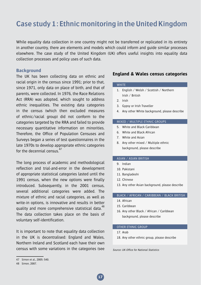# **Case study 1: Ethnic monitoring in the United Kingdom**

While equality data collection in one country might not be transferred or replicated in its entirety in another country, there are elements and models which could inform and guide similar processes elsewhere. The case study of the United Kingdom (UK) offers useful insights into equality data collection processes and policy uses of such data.

#### **Background**

The UK has been collecting data on ethnic and racial origin in the census since 1991; prior to that, since 1971, only data on place of birth, and that of parents, were collected. In 1976, the Race Relations Act (RRA) was adopted, which sought to address ethnic inequalities. The existing data categories in the census (which then excluded measures of ethnic/racial group) did not conform to the categories targeted by the RRA and failed to provide necessary quantitative information on minorities. Therefore, the Office of Population Censuses and Surveys began a series of test questionnaires in the late 1970s to develop appropriate ethnic categories for the decennial census.<sup>47</sup>

The long process of academic and methodological reflection and trial-and-error in the development of appropriate statistical categories lasted until the 1991 census, when the new options were finally introduced. Subsequently, in the 2001 census, several additional categories were added. The mixture of ethnic and racial categories, as well as write-in options, is innovative and results in better quality and more comprehensive statistical data.<sup>48</sup> The data collection takes place on the basis of voluntary self-identification.

It is important to note that equality data collection in the UK is decentralised: England and Wales, Northern Ireland and Scotland each have their own census with some variations in the categories (see

#### **England & Wales census categories**

#### WHITE

- 1. English / Welsh / Scottish / Northern Irish / British
- 2. Irish
- 3. Gypsy or Irish Traveller
- 4. Any other White background, please describe

#### Mixed / Multiple ethnic groups

- 5. White and Black Caribbean
- 6. White and Black African
- 7. White and Asian
- 8. Any other mixed / Multiple ethnic background, please describe

#### Asian / Asian British

- 9. Indian
- 10. Pakistani
- 11. Bangladeshi
- 12. Chinese
- 13. Any other Asian background, please describe

#### Black / African / Caribbean / Black British

- 14. African
- 15. Caribbean
- 16. Any other Black / African / Caribbean background, please describe

#### Other ethnic group

- 17. Arab
- 18. Any other ethnic group, please describe

Source: UK Office for National Statistics

<sup>47</sup> Simon et al., 2005: 540.

<sup>48</sup> Simon, 2007.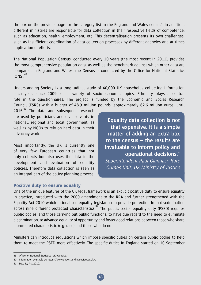the box on the previous page for the category list in the England and Wales census). In addition, different ministries are responsible for data collection in their respective fields of competence, such as education, health, employment, etc. This decentralisation presents its own challenges, such as insufficient coordination of data collection processes by different agencies and at times duplication of efforts.

The National Population Census, conducted every 10 years (the most recent in 2011), provides the most comprehensive population data, as well as the benchmark against which other data are compared. In England and Wales, the Census is conducted by the Office for National Statistics  $(0NS)^{49}$ 

Understanding Society is a longitudinal study of 40,000 UK households collecting information each year, since 2009, on a variety of socio-economic topics. Ethnicity plays a central role in the questionnaires. The project is funded by the Economic and Social Research Council (ESRC) with a budget of 48.9 million pounds (approximately 62.6 million euros) until

 $2015<sup>50</sup>$  The data and subsequent research are used by politicians and civil servants in national, regional and local government, as well as by NGOs to rely on hard data in their advocacy work.

Most importantly, the UK is currently one of very few European countries that not only collects but also uses the data in the development and evaluation of equality policies. Therefore data collection is seen as an integral part of the policy planning process.

#### **Positive duty to ensure equality**

**"Equality data collection is not that expensive, it is a simple matter of adding an extra box to the census – the results are invaluable to inform policy and operational decisions."** Superintendent Paul Giannasi, Hate Crimes Unit, UK Ministry of Justice

One of the unique features of the UK legal framework is an explicit positive duty to ensure equality in practice, introduced with the 2000 amendment to the RRA and further strengthened with the Equality Act 2010 which rationalised equality legislation to provide protection from discrimination across nine different protected characteristics.<sup>51</sup> The public sector equality duty (PSED) requires public bodies, and those carrying out public functions, to have due regard to the need to eliminate discrimination, to advance equality of opportunity and foster good relations between those who share a protected characteristic (e.g. race) and those who do not.

Ministers can introduce regulations which impose specific duties on certain public bodies to help them to meet the PSED more effectively. The specific duties in England started on 10 September

51 Equality Act 2010.

<sup>49</sup> Office for National Statistics (UK) website.

<sup>50</sup> Information available at: https://www.understandingsociety.ac.uk/.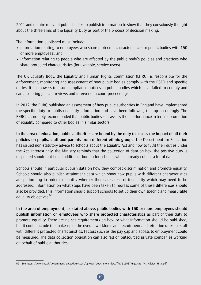2011 and require relevant public bodies to publish information to show that they consciously thought about the three aims of the Equality Duty as part of the process of decision making.

The information published must include:

- information relating to employees who share protected characteristics (for public bodies with 150 or more employees); and
- information relating to people who are affected by the public body's policies and practices who share protected characteristics (for example, service users).

The UK Equality Body, the Equality and Human Rights Commission (EHRC), is responsible for the enforcement, monitoring and assessment of how public bodies comply with the PSED and specific duties. It has powers to issue compliance notices to public bodies which have failed to comply and can also bring judicial reviews and intervene in court proceedings.

In 2012, the EHRC published an assessment of how public authorities in England have implemented the specific duty to publish equality information and have been following this up accordingly. The EHRC has notably recommended that public bodies self-assess their performance in term of promotion of equality compared to other bodies in similar sectors.

**In the area of education, public authorities are bound by the duty to assess the impact of all their policies on pupils, staff and parents from different ethnic groups.** The Department for Education has issued non-statutory advice to schools about the Equality Act and how to fulfil their duties under the Act. Interestingly, the Ministry reminds that the collection of data on how the positive duty is respected should not be an additional burden for schools, which already collect a lot of data.

Schools should in particular publish data on how they combat discrimination and promote equality. Schools should also publish attainment data which show how pupils with different characteristics are performing in order to identify whether there are areas of inequality which may need to be addressed. Information on what steps have been taken to redress some of these differences should also be provided. This information should support schools to set up their own specific and measurable equality objectives.<sup>52</sup>

**In the area of employment, as stated above, public bodies with 150 or more employees should publish information on employees who share protected characteristics** as part of their duty to promote equality. There are no set requirements on how or what information should be published, but it could include the make-up of the overall workforce and recruitment and retention rates for staff with different protected characteristics. Factors such as the pay gap and access to employment could be measured. The data collection obligation can also fall on outsourced private companies working on behalf of public authorities.

<sup>52</sup> See https://www.gov.uk/government/uploads/system/uploads/attachment\_data/file/315587/Equality\_Act\_Advice\_Final.pdf.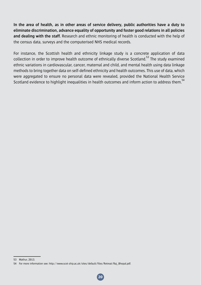**In the area of health, as in other areas of service delivery, public authorities have a duty to eliminate discrimination, advance equality of opportunity and foster good relations in all policies and dealing with the staff.** Research and ethnic monitoring of health is conducted with the help of the census data, surveys and the computerised NHS medical records.

For instance, the Scottish health and ethnicity linkage study is a concrete application of data collection in order to improve health outcome of ethnically diverse Scotland.<sup>53</sup> The study examined ethnic variations in cardiovascular, cancer, maternal and child, and mental health using data linkage methods to bring together data on self-defined ethnicity and health outcomes. This use of data, which were aggregated to ensure no personal data were revealed, provided the National Health Service Scotland evidence to highlight inequalities in health outcomes and inform action to address them.<sup>54</sup>

<sup>53</sup> Mathur, 2013.

<sup>54</sup> For more information see: http://www.scot-ship.ac.uk/sites/default/files/Retreat/Raj\_Bhopal.pdf.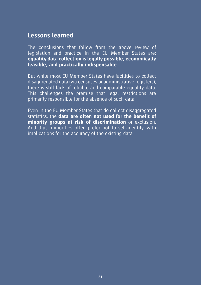# **Lessons learned**

The conclusions that follow from the above review of legislation and practice in the EU Member States are: **equality data collection is legally possible, economically feasible, and practically indispensable**.

But while most EU Member States have facilities to collect disaggregated data (via censuses or administrative registers), there is still lack of reliable and comparable equality data. This challenges the premise that legal restrictions are primarily responsible for the absence of such data.

Even in the EU Member States that do collect disaggregated statistics, the **data are often not used for the benefit of minority groups at risk of discrimination** or exclusion. And thus, minorities often prefer not to self-identify, with implications for the accuracy of the existing data.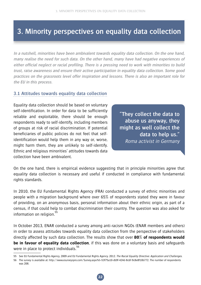# **3. Minority perspectives on equality data collection**

**In a nutshell, minorities have been ambivalent towards equality data collection. On the one hand, many realise the need for such data. On the other hand, many have had negative experiences of either official neglect or racial profiling. There is a pressing need to work with minorities to build trust, raise awareness and ensure their active participation in equality data collection. Some good practices on the grassroots level offer inspiration and lessons. There is also an important role for the EU in this process.**

## **3.1 Attitudes towards equality data collection**

Equality data collection should be based on voluntary self-identification. In order for data to be sufficiently reliable and exploitable, there should be enough respondents ready to self-identify, including members of groups at risk of racial discrimination. If potential beneficiaries of public policies do not feel that selfidentification would help them in any way or, worse, might harm them, they are unlikely to self-identify. Ethnic and religious minorities' attitudes towards data collection have been ambivalent.

**"They collect the data to abuse us anyway, they might as well collect the data to help us."** Roma activist in Germany

On the one hand, there is empirical evidence suggesting that in principle minorities agree that equality data collection is necessary and useful if conducted in compliance with fundamental rights standards.

In 2010, the EU Fundamental Rights Agency (FRA) conducted a survey of ethnic minorities and people with a migration background where over 65% of respondents stated they were in favour of providing, on an anonymous basis, personal information about their ethnic origin, as part of a census, if that could help to combat discrimination their country. The question was also asked for information on religion.<sup>55</sup>

In October 2013, ENAR conducted a survey among anti-racism NGOs (ENAR members and others) in order to assess attitudes towards equality data collection from the perspective of stakeholders directly affected by such data collection. The results show that over **80% of respondents would be in favour of equality data collection**, if this was done on a voluntary basis and safeguards were in place to protect individuals.<sup>56</sup>

<sup>55</sup> See EU Fundamental Rights Agency, 2009 and EU Fundamental Rights Agency. 2012. The Racial Equality Directive: Application and Challenges.

<sup>56</sup> The survey is available at: http://www.esurveyspro.com/Survey.aspx?id=53f75a10-db9f-424d-8c6f-9c8e8f10b772. The number of respondents was 208.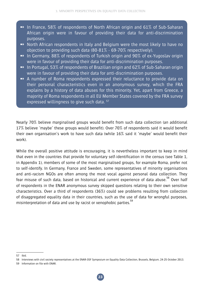- ➻ In France, 58% of respondents of North African origin and 61% of Sub-Saharan African origin were in favour of providing their data for anti-discrimination purposes.
- ➻ North African respondents in Italy and Belgium were the most likely to have no objection to providing such data (80-81% - 69-70% respectively).
- ➻ In Germany, 88% of respondents of Turkish origin and 90% of ex-Yugoslav origin were in favour of providing their data for anti-discrimination purposes.
- ➻ In Portugal, 53% of respondents of Brazilian origin and 62% of Sub-Saharan origin were in favour of providing their data for anti-discrimination purposes.
- ➻ A number of Roma respondents expressed their reluctance to provide data on their personal characteristics even in an anonymous survey, which the FRA explains by a history of data abuses for this minority. Yet, apart from Greece, a majority of Roma respondents in all EU Member States covered by the FRA survey expressed willingness to give such data.  $57$

Nearly 70% believe marginalised groups would benefit from such data collection (an additional 17% believe 'maybe' these groups would benefit). Over 70% of respondents said it would benefit their own organisation's work to have such data (while 16% said it 'maybe' would benefit their work).

While the overall positive attitude is encouraging, it is nevertheless important to keep in mind that even in the countries that provide for voluntary self-identification in the census (see Table 1, in Appendix 1), members of some of the most marginalised groups, for example Roma, prefer not to self-identify. In Germany, France and Sweden, some representatives of minority organisations and anti-racism NGOs are often among the most vocal against personal data collection. They fear misuse of such data, based on historical and current experience of data abuse.<sup>58</sup> Over half of respondents in the ENAR anonymous survey skipped questions relating to their own sensitive characteristics. Over a third of respondents (36%) could see problems resulting from collection of disaggregated equality data in their countries, such as the use of data for wrongful purposes, misinterpretation of data and use by racist or xenophobic parties.<sup>59</sup>

<sup>57</sup> Ibid.

<sup>58</sup> Interviews with civil society representatives at the ENAR-OSF Symposium on Equality Data Collection, Brussels, Belgium, 24-25 October 2013.

<sup>59</sup> Information on file with ENAR.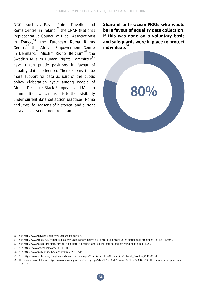NGOs such as Pavee Point (Traveller and Roma Centre) in Ireland.<sup>60</sup> the CRAN (National Representative Council of Black Associations) in France, $61$  the European Roma Rights Centre, $62$  the African Empowerment Centre in Denmark, $63$  Muslim Rights Belgium,  $64$  the Swedish Muslim Human Rights Committee<sup>65</sup> have taken public positions in favour of equality data collection. There seems to be more support for data as part of the public policy elaboration cycle among People of African Descent/ Black Europeans and Muslim communities, which link this to their visibility under current data collection practices. Roma and Jews, for reasons of historical and current data abuses, seem more reluctant. <sup>66</sup>

**Share of anti-racism NGOs who would be in favour of equality data collection, if this was done on a voluntary basis and safeguards were in place to protect individuals**<sup>66</sup>



<sup>60</sup> See http://www.paveepoint.ie/resources/data-portal/.

<sup>61</sup> See http://www.le-cran.fr/communiques-cran-associations-noires-de-france\_lire\_debat-sur-les-statistiques-ethniques\_18\_120\_4.html.

<sup>62</sup> See http://www.errc.org/article/errc-calls-on-states-to-collect-and-publish-data-to-address-roma-health-gap/4229.

<sup>63</sup> See https://www.facebook.com/PAD.BE.DK.

<sup>64</sup> See http://www.mrb-online.be/rapportannuel2013.pdf.

<sup>65</sup> See http://www2.ohchr.org/english/bodies/cerd/docs/ngos/SwedishMuslimsCooperationNetwork\_Sweden\_CERD83.pdf.

<sup>66</sup> The survey is available at: http://www.esurveyspro.com/Survey.aspx?id=53f75a10-db9f-424d-8c6f-9c8e8f10b772. The number of respondents was 208.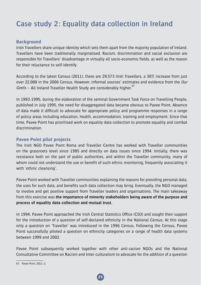# **Case study 2: Equality data collection in Ireland**

#### **Background**

Irish Travellers share unique identity which sets them apart from the majority population of Ireland. Travellers have been traditionally marginalised. Racism, discrimination and social exclusion are responsible for Travellers' disadvantage in virtually all socio-economic fields, as well as the reason for their reluctance to self-identify.

According to the latest Census (2011), there are 29,573 Irish Travellers, a 30% increase from just over 22,000 in the 2006 Census. However, informal sources' estimates and evidence from the Our  $Geels$  – All Ireland Traveller Health Study are considerably higher.<sup>67</sup>

In 1993-1995, during the elaboration of the seminal Government Task Force on Travelling People, published in July 1995, the need for disaggregated data became obvious to Pavee Point. Absence of data made it difficult to advocate for appropriate policy and programme responses in a range of policy areas including education, health, accommodation, training and employment. Since that time, Pavee Point has prioritised work on equality data collection to promote equality and combat discrimination.

#### **Pavee Point pilot projects**

The Irish NGO Pavee Point Roma and Traveller Centre has worked with Traveller communities on the grassroots level since 1985 and directly on data issues since 1994. Initially, there was resistance both on the part of public authorities, and within the Traveller community, many of whom could not understand the use or benefit of such ethnic monitoring, frequently associating it with 'ethnic cleansing'.

Pavee Point worked with Traveller communities explaining the reasons for providing personal data, the uses for such data, and benefits such data collection may bring. Eventually, the NGO managed to involve and get positive support from Traveller leaders and organisations. The main takeaway from this exercise was **the importance of minority stakeholders being aware of the purpose and process of equality data collection and mutual trust.**

In 1994, Pavee Point approached the Irish Central Statistics Office (CSO) and sought their support for the introduction of a question of self-declared ethnicity in the National Census. At this stage only a question on 'Traveller' was introduced in the 1996 Census. Following the Census, Pavee Point successfully piloted a question on ethnicity categories on a range of health data systems between 1999 and 2002.

Pavee Point subsequently worked together with other anti-racism NGOs and the National Consultative Committee on Racism and Inter-culturalism to advocate for the addition of a question

<sup>67</sup> Pavee Point,  $2011:2$ .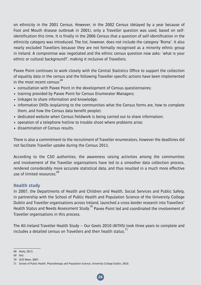on ethnicity in the 2001 Census. However, in the 2002 Census (delayed by a year because of Foot and Mouth disease outbreak in 2001), only a Traveller question was used, based on selfidentification this time. It is finally in the 2006 Census that a question of self-identification in the ethnicity category was introduced. The list, however, does not include the category 'Roma'. It also nearly excluded Travellers because they are not formally recognised as a minority ethnic group in Ireland. A compromise was negotiated and the ethnic census question now asks: 'what is your ethnic or cultural background?', making it inclusive of Travellers.

Pavee Point continues to work closely with the Central Statistics Office to support the collection of equality data in the census and the following Traveller-specific actions have been implemented in the most recent census:<sup>68</sup>

- consultation with Pavee Point in the development of Census questionnaires;
- training provided by Pavee Point for Census Enumerator Managers;
- linkages to share information and knowledge;
- information DVDs (explaining to the communities what the Census forms are, how to complete them, and how the Census data benefit people);
- dedicated website when Census fieldwork is being carried out to share information;
- operation of a telephone hotline to trouble shoot where problems arise;
- dissemination of Census results.

There is also a commitment to the recruitment of Traveller enumerators, however the deadlines did not facilitate Traveller uptake during the Census 2011.

According to the CSO authorities, the awareness raising activities among the communities and involvement of the Traveller organisations have led to a smoother data collection process, rendered considerably more accurate statistical data, and thus resulted in a much more effective use of limited resources 69

## **Health study**

In 2007, the Departments of Health and Children and Health, Social Services and Public Safety, in partnership with the School of Public Health and Population Science of the University College Dublin and Traveller organisations across Ireland, launched a cross-border research into Travellers' Health Status and Needs Assessment Study.<sup>70</sup> Pavee Point led and coordinated the involvement of Traveller organisations in this process.

The All-Ireland Traveller Health Study – Our Geels 2010 (AITHS) took three years to complete and includes a detailed census on Travellers and their health status.<sup>71</sup>

<sup>68</sup> Healy, 2013.

<sup>69</sup> Ibid.

<sup>70</sup> UCD News, 2007.

<sup>71</sup> School of Public Health, Physiotherapy and Population Science, University College Dublin, 2010.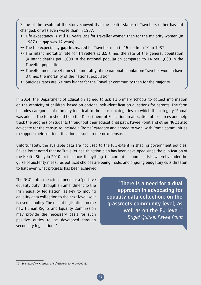Some of the results of the study showed that the health status of Travellers either has not changed, or was even worse than in 1987:

- ➻ Life expectancy is still 11 years less for Traveller women than for the majority women (in 1987 the gap was 12 years).
- ➻ The life expectancy **gap increased** for Traveller men to 15, up from 10 in 1987.
- ➻ The infant mortality rate for Travellers is 3.5 times the rate of the general population (4 infant deaths per 1,000 in the national population compared to 14 per 1,000 in the Traveller population.
- ➻ Traveller men have 4 times the mortality of the national population; Traveller women have 3 times the mortality of the national population.
- ➻ Suicides rates are 6 times higher for the Traveller community than for the majority.

In 2014, the Department of Education agreed to ask all primary schools to collect information on the ethnicity of children, based on optional self-identification questions for parents. The form includes categories of ethnicity identical to the census categories, to which the category 'Roma' was added. The form should help the Department of Education in allocation of resources and help track the progress of students throughout their educational path. Pavee Point and other NGOs also advocate for the census to include a 'Roma' category and agreed to work with Roma communities to support their self-identification as such in the next census.

Unfortunately, the available data are not used to the full extent in shaping government policies. Pavee Point noted that no Traveller health action plan has been developed since the publication of the Health Study in 2010 for instance. If anything, the current economic crisis, whereby under the guise of austerity measures political choices are being made, and ongoing budgetary cuts threaten to halt even what progress has been achieved.

The NGO notes the critical need for a 'positive equality duty', through an amendment to the Irish equality legislation, as key to moving equality data collection to the next level, so it is used in policy. The recent legislation on the new Human Rights and Equality Commission may provide the necessary basis for such positive duties to be developed through secondary legislation.<sup>72</sup>

**"There is a need for a dual approach in advocating for equality data collection: on the grassroots community level, as well as on the EU level."** Brigid Quirke, Pavee Point

<sup>72</sup> See http://www.justice.ie/en/JELR/Pages/PR14000083.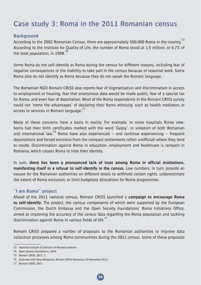# **Case study 3: Roma in the 2011 Romanian census**

#### **Background**

According to the 2002 Romanian Census, there are approximately 500,000 Roma in the country.<sup>13</sup> According to the Institute for Quality of Life, the number of Roma stood at 1.5 million, or 6.7% of the total population, in 1998. $^{74}$ 

Some Roma do not self-identify as Roma during the census for different reasons, including fear of negative consequences or the inability to take part in the census because of seasonal work. Some Roma also do not identify as Roma because they do not speak the Romani language.

The Romanian NGO Romani CRISS also reports fear of stigmatisation and discrimination in access to employment or housing, fear that anonymous data would be made public, fear of a special tax for Roma, and even fear of deportation. Most of the Roma respondents in the Romani CRISS survey could not 'name the advantages' of declaring their Roma ethnicity, such as health mediators or access to services in Romani language.<sup>15</sup>

Many of these concerns have a basis in reality. For example, in some hospitals Roma newborns had their birth certificates marked with the word 'Gypsy', in violation of both Romanian and international law.<sup>76</sup> Roma have also experienced – and continue experiencing – frequent deportations and forced evictions from the compact settlements (often unofficial) where they tend to reside. Discrimination against Roma in education, employment and healthcare is rampant in Romania, which causes Roma to hide their identity.

In sum, **there has been a pronounced lack of trust among Roma in official institutions, manifesting itself in a refusal to self-identify in the census**. Low numbers, in turn, provide an excuse for the Romanian authorities on different levels to withhold certain rights, underestimate the extent of Roma exclusion, or limit budgetary allocations for Roma programmes.

## **"I am Roma" project**

Ahead of the 2011 national census, Romani CRISS launched a **campaign to encourage Roma to self-identify.** The project, the various components of which were supported by the European Commission, the Dutch Embassy and the Open Society Foundations' Roma Initiatives Office, aimed at improving the accuracy of the census data regarding the Roma population and tackling discrimination against Roma in various fields of life. $''$ 

Romani CRISS prepared a number of proposals to the Romanian authorities to improve data collection processes among Roma communities during the 2011 census. Some of these proposals

<sup>73</sup> National Institute of Statistics of Romania website.

<sup>74</sup> Open Society Foundations, 2010.

<sup>75</sup> Romani CRISS, 2011: 7.

<sup>76</sup> Interview with Oana Mihalache, Romani CRISS (Romania), 29 November 2013.

<sup>77</sup> Romani CRISS, 2011.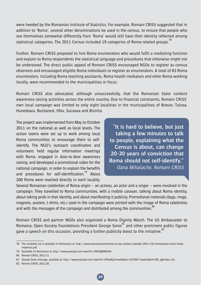were heeded by the Romanian Institute of Statistics. For example, Romani CRISS suggested that in addition to 'Roma', several other denominations be used in the census, to ensure that people who see themselves somewhat differently from 'Roma' would still have their identity reflected among statistical categories. The 2011 Census included 19 categories of Roma-related groups.<sup>78</sup>

Further, Romani CRISS proposed to hire Roma enumerators who would fulfil a mediating function and explain to Roma respondents the statistical language and procedures that otherwise might not be understood. The direct public appeal of Romani CRISS encouraged NGOs to register as census observers and encouraged eligible Roma individuals to register as enumerators. A total of 83 Roma enumerators, including Roma teaching assistants, Roma health mediators and other Roma working locally, were recommended to the municipalities in focus.

Romani CRISS also advocated, although unsuccessfully, that the Romanian State conduct awareness raising activities across the entire country. Due to financial constraints, Romani CRISS' own local campaign was limited to only eight localities in the municipalities of Brasov, Tulcea, Hunedoara, Bucharest, Ilfov, Suceava and Bistrita.

The project was implemented from May to October 2011 on the national as well as local levels. The action teams were set up to work among local Roma communities to encourage them to selfidentify. The NGO's outreach coordinators and volunteers held regular information meetings with Roma, engaged in door-to-door awareness raising, and developed a promotional video for the national campaign, in order to explain the benefits and procedures for self-identification.<sup>79</sup> About 200 Roma were reached directly in each locality.

**"It is hard to believe, but just taking a few minutes to talk to people, explaining what the Census is about, can change 20-30 years of conviction that Roma should not self-identify."** Oana Mihalache, Romani CRISS

Several Romanian celebrities of Roma origin – an actress, an actor and a singer – were involved in the campaign. They travelled to Roma communities, with a mobile caravan, talking about Roma identity, about taking pride in that identity, and about manifesting it publicly. Promotional materials (bags, mugs, magnets, posters, t-shirts, etc.) used in the campaign were printed with the image of Roma celebrities and with the messages of the campaign and distributed among the communities.<sup>80</sup>

Romani CRISS and partner NGOs also organised a Roma Dignity March. The US Ambassador to Romania, Open Society Foundations President George Soros $^{81}$  and other prominent public figures gave a speech on this occasion, providing a further publicity boost to the initiative.<sup>82</sup>

<sup>78</sup> The complete list is available (in Romanian) at: http://www.recensamantromania.ro/wp-content/uploads/2011/10/nomenclator-etnie-limbamaterna1.pdf.

<sup>79</sup> Available (in Romanian) at: http://www.youtube.com/watch?v=0NiSQWMlhK4.

<sup>80</sup> Romani CRISS, 2011:11.

<sup>81</sup> George Soros message, available at: http://www.youtube.com/watch?v=dTHwKg7omwE&list=UU79dS-YvaaXrd6oiO-RZt\_g&index=16-.

<sup>82</sup> Romani CRISS, 2011:20.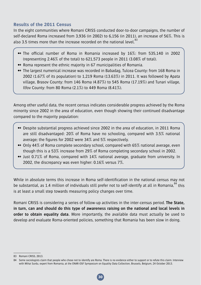## **Results of the 2011 Census**

In the eight communities where Romani CRISS conducted door-to-door campaigns, the number of self-declared Roma increased from 3,936 (in 2002) to 6,156 (in 2011), an increase of 56%. This is also 3.5 times more than the increase recorded on the national level.<sup>83</sup>

- ➻ The official number of Roma in Romania increased by 16%: from 535,140 in 2002 (representing 2.46% of the total) to 621,573 people in 2011 (3.08% of total).
- ➻ Roma represent the ethnic majority in 67 municipalities of Romania.
- ➻ The largest numerical increase was recorded in Babadag, Tulcea County: from 168 Roma in 2002 (1.67% of its population) to 1,219 Roma (13.63%) in 2011. It was followed by Apata village, Brasov County: from 146 Roma (4.87%) to 545 Roma (17.19%) and Tunari village, Ilfov County: from 80 Roma (2.1%) to 449 Roma (8.41%).

Among other useful data, the recent census indicates considerable progress achieved by the Roma minority since 2002 in the area of education, even though showing their continued disadvantage compared to the majority population:

- ➻ Despite substantial progress achieved since 2002 in the area of education, in 2011 Roma are still disadvantaged: 20% of Roma have no schooling, compared with 3.5% national average; the figures for 2002 were 34% and 5% respectively.
- ➻ Only 44% of Roma complete secondary school, compared with 65% national average, even though this is a 53% increase from 29% of Roma completing secondary school in 2002.
- ➻ Just 0.71% of Roma, compared with 14% national average, graduate from university. In 2002, the discrepancy was even higher: 0.16% versus 7%.

While in absolute terms this increase in Roma self-identification in the national census may not be substantial, as 1.4 million of individuals still prefer not to self-identify at all in Romania, <sup>84</sup> this is at least a small step towards measuring policy changes over time.

Romani CRISS is considering a series of follow-up activities in the inter-census period. **The State, in turn, can and should do this type of awareness raising on the national and local levels in order to obtain equality data.** More importantly, the available data must actually be used to develop and evaluate Roma-oriented policies, something that Romania has been slow in doing.

<sup>83</sup> Romani CRISS, 2013.

<sup>84</sup> Some sociologists claim that people who chose not to identify are Roma. There is no evidence either to support or to refute this claim. Interview with Mihai Surdu, expert from Romania, at the ENAR-OSF Symposium on Equality Data Collection, Brussels, Belgium, 24 October 2013.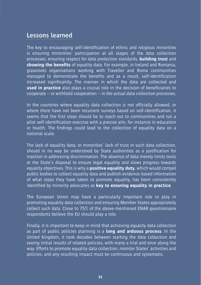# **Lessons learned**

The key to encouraging self-identification of ethnic and religious minorities is ensuring minorities' participation at all stages of the data collection processes, ensuring respect for data protection standards, **building trust** and **showing the benefits** of equality data. For example, in Ireland and Romania, grassroots organisations working with Traveller and Roma communities managed to demonstrate the benefits and as a result, self-identification increased significantly. The manner in which the data are collected and **used in practice** also plays a crucial role in the decision of beneficiaries to cooperate – or withhold cooperation – in the actual data collection processes.

In the countries where equality data collection is not officially allowed, or where there have not been recurrent surveys based on self-identification, it seems that the first steps should be to reach out to communities and run a pilot self-identification exercise with a precise aim, for instance in education or health. The findings could lead to the collection of equality data on a national scale.

The lack of equality data, or minorities' lack of trust in such data collection, should in no way be understood by State authorities as a justification for inaction in addressing discrimination. The absence of data merely limits tools at the State's disposal to ensure legal equality and slows progress towards equality objectives. This is why a **positive equality duty**, which would compel public bodies to collect equality data and publish evidence-based information of what steps they have taken to promote equality, has been consistently identified by minority advocates as **key to ensuring equality in practice**.

The European Union may have a particularly important role to play in promoting equality data collection and ensuring Member States appropriately collect such data. Close to 75% of the above-mentioned ENAR questionnaire respondents believe the EU should play a role.

Finally, it is important to keep in mind that achieving equality data collection as part of public policies planning is a **long and arduous process**. In the United Kingdom, it took decades between starting the data collection and seeing initial results of related policies, with many a trial and error along the way. Efforts to promote equality data collection, monitor States' activities and policies, and any resulting impact must be continuous and systematic.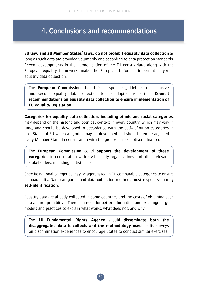# **4. Conclusions and recommendations**

**EU law, and all Member States' laws, do not prohibit equality data collection** as long as such data are provided voluntarily and according to data protection standards. Recent developments in the harmonisation of the EU census data, along with the European equality framework, make the European Union an important player in equality data collection.

The **European Commission** should issue specific guidelines on inclusive and secure equality data collection to be adopted as part of **Council recommendations on equality data collection to ensure implementation of EU equality legislation**.

**Categories for equality data collection, including ethnic and racial categories**, may depend on the historic and political context in every country, which may vary in time, and should be developed in accordance with the self-definition categories in use. Standard EU-wide categories may be developed and should then be adjusted in every Member State, in consultation with the groups at risk of discrimination.

The **European Commission** could **support the development of these categories** in consultation with civil society organisations and other relevant stakeholders, including statisticians.

Specific national categories may be aggregated in EU comparable categories to ensure comparability. Data categories and data collection methods must respect voluntary **self-identification**.

Equality data are already collected in some countries and the costs of obtaining such data are not prohibitive. There is a need for better information and exchange of good models and practices to explain what works, what does not, and why.

The **EU Fundamental Rights Agency** should **disseminate both the disaggregated data it collects and the methodology used** for its surveys on discrimination experiences to encourage States to conduct similar exercises.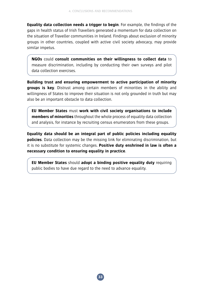**Equality data collection needs a trigger to begin**. For example, the findings of the gaps in health status of Irish Travellers generated a momentum for data collection on the situation of Traveller communities in Ireland. Findings about exclusion of minority groups in other countries, coupled with active civil society advocacy, may provide similar impetus.

**NGOs** could **consult communities on their willingness to collect data** to measure discrimination, including by conducting their own surveys and pilot data collection exercises.

**Building trust and ensuring empowerment to active participation of minority groups is key**. Distrust among certain members of minorities in the ability and willingness of States to improve their situation is not only grounded in truth but may also be an important obstacle to data collection.

**EU Member States** must **work with civil society organisations to include members of minorities** throughout the whole process of equality data collection and analysis, for instance by recruiting census enumerators from these groups.

**Equality data should be an integral part of public policies including equality policies**. Data collection may be the missing link for eliminating discrimination, but it is no substitute for systemic changes. **Positive duty enshrined in law is often a necessary condition to ensuring equality in practice**.

**EU Member States** should **adopt a binding positive equality duty** requiring public bodies to have due regard to the need to advance equality.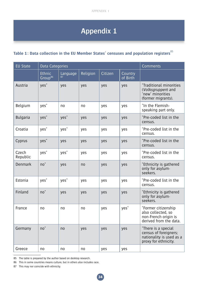# **Appendix 1**

# Table 1: Data collection in the EU Member States' censuses and population registers<sup>85</sup>

| <b>EU State</b>   | Data Categories                      |                  | <b>Comments</b> |         |                     |                                                                                                  |
|-------------------|--------------------------------------|------------------|-----------------|---------|---------------------|--------------------------------------------------------------------------------------------------|
|                   | <b>Ethnic</b><br>Group <sup>86</sup> | Language<br>87   | Religion        | Citizen | Country<br>of Birth |                                                                                                  |
| Austria           | yes <sup>*</sup>                     | yes              | yes             | yes     | yes                 | *Traditional minorities<br>(Volksgruppen) and<br>'new' minorities<br>(former migrants).          |
| Belgium           | yes <sup>*</sup>                     | no               | no              | yes     | yes                 | *In the Flemish-<br>speaking part only.                                                          |
| <b>Bulgaria</b>   | $yes^*$                              | yes <sup>*</sup> | yes             | yes     | yes                 | *Pre-coded list in the<br>census.                                                                |
| Croatia           | yes <sup>*</sup>                     | yes <sup>*</sup> | yes             | yes     | yes                 | *Pre-coded list in the<br>census.                                                                |
| Cyprus            | $yes^*$                              | yes              | yes             | yes     | yes                 | *Pre-coded list in the<br>census.                                                                |
| Czech<br>Republic | yes <sup>*</sup>                     | yes <sup>*</sup> | yes             | yes     | yes                 | *Pre-coded list in the<br>census.                                                                |
| <b>Denmark</b>    | $no^*$                               | yes              | no              | yes     | yes                 | *Ethnicity is gathered<br>only for asylum-<br>seekers.                                           |
| Estonia           | yes <sup>*</sup>                     | $ves^*$          | yes             | yes     | yes                 | *Pre-coded list in the<br>census.                                                                |
| Finland           | $no^*$                               | yes              | yes             | yes     | yes                 | *Ethnicity is gathered<br>only for asylum-<br>seekers.                                           |
| France            | no                                   | no               | no              | yes     | yes <sup>*</sup>    | *Former citizenship<br>also collected, so<br>non-French origin is<br>derived from the data.      |
| Germany           | $no^*$                               | no               | yes             | yes     | yes                 | *There is a special<br>census of foreigners;<br>nationality is used as a<br>proxy for ethnicity. |
| Greece            | no                                   | no               | no              | yes     | yes                 |                                                                                                  |

<sup>85</sup> The table is prepared by the author based on desktop research.

<sup>86</sup> This in some countries means culture, but in others also includes race.

<sup>87</sup> This may nor coincide with ethnicity.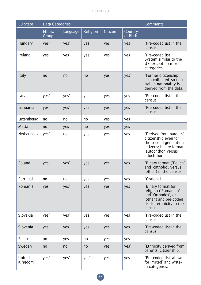| <b>EU State</b>   | Data Categories        |                  | <b>Comments</b>  |         |                     |                                                                                                                                         |
|-------------------|------------------------|------------------|------------------|---------|---------------------|-----------------------------------------------------------------------------------------------------------------------------------------|
|                   | <b>Ethnic</b><br>Group | Language         | Religion         | Citizen | Country<br>of Birth |                                                                                                                                         |
| Hungary           | $ves^*$                | $ves^*$          | yes              | yes     | yes                 | *Pre-coded list in the<br>census.                                                                                                       |
| Ireland           | yes                    | yes              | yes              | yes     | yes                 | *Pre-coded list.<br>System similar to the<br>UK, except no mixed<br>categories.                                                         |
| Italy             | no                     | no               | no               | yes     | yes <sup>*</sup>    | *Former citizenship<br>also collected, so non-<br>Italian nationality is<br>derived from the data.                                      |
| Latvia            | yes <sup>*</sup>       | yes <sup>*</sup> | yes              | yes     | yes                 | *Pre-coded list in the<br>census.                                                                                                       |
| Lithuania         | yes <sup>+</sup>       | yes <sup>*</sup> | yes              | yes     | yes                 | *Pre-coded list in the<br>census.                                                                                                       |
| Luxembourg        | no                     | no               | no               | yes     | yes                 |                                                                                                                                         |
| Malta             | no                     | yes              | no               | yes     | yes                 |                                                                                                                                         |
| Netherlands       | yes <sup>*</sup>       | no               | yes <sup>*</sup> | yes     | yes                 | *Derived from parents'<br>citizenship even for<br>the second generation<br>citizens; binary format<br>(autochthon versus<br>allochthon) |
| Poland            | yes                    | yes <sup>*</sup> | yes              | yes     | yes                 | *Binary format ('Polish'<br>and 'catholic', versus<br>'other') in the census.                                                           |
| Portugal          | no                     | no               | yes <sup>*</sup> | yes     | yes                 | *Optional.                                                                                                                              |
| Romania           | yes                    | yes <sup>*</sup> | yes <sup>*</sup> | yes     | yes                 | *Binary format for<br>religion ('Romanian'<br>and 'Orthodox', or<br>'other') and pre-coded<br>list for ethnicity in the<br>census.      |
| Slovakia          | yes <sup>*</sup>       | yes <sup>*</sup> | yes              | yes     | yes                 | *Pre-coded list in the<br>census.                                                                                                       |
| Slovenia          | yes                    | yes              | yes              | yes     | yes                 | *Pre-coded list in the<br>census.                                                                                                       |
| Spain             | no                     | yes              | no               | yes     | yes                 |                                                                                                                                         |
| Sweden            | no                     | no               | no               | yes     | yes <sup>*</sup>    | *Ethnicity derived from<br>parents' citizenship.                                                                                        |
| United<br>Kingdom | yes <sup>*</sup>       | yes <sup>*</sup> | yes <sup>*</sup> | yes     | yes                 | *Pre-coded list, allows<br>for 'mixed' and write-<br>in categories.                                                                     |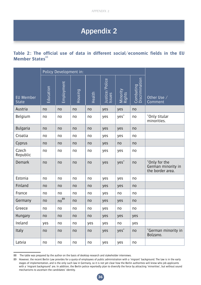# **Appendix 2**

## **Table 2: The official use of data in different social/economic fields in the EU Member States**<sup>88</sup>

|                                  | Policy Development in: |            |                |                |                          |                    |                             |                                                         |
|----------------------------------|------------------------|------------|----------------|----------------|--------------------------|--------------------|-----------------------------|---------------------------------------------------------|
| <b>EU Member</b><br><b>State</b> | Education              | Employment | <b>Housing</b> | Health         | Justice/Police<br>Issues | Minority<br>Rights | Combating<br>Discrimination | Other Use /<br>Comment                                  |
| Austria                          | no                     | no         | no             | no             | yes                      | yes                | no                          |                                                         |
| Belgium                          | no                     | no         | no             | no             | yes                      | yes <sup>*</sup>   | no                          | *Only titular<br>minorities.                            |
| <b>Bulgaria</b>                  | no                     | no         | no             | no             | yes                      | yes                | no                          |                                                         |
| Croatia                          | no                     | no         | no             | no             | yes                      | yes                | no                          |                                                         |
| Cyprus                           | no                     | no         | no             | no             | yes                      | no                 | no                          |                                                         |
| Czech<br>Republic                | no                     | no         | no             | no             | yes                      | yes                | no                          |                                                         |
| Demark                           | no                     | no         | no             | no             | yes                      | $yes^*$            | no                          | *Only for the<br>German minority in<br>the border area. |
| Estonia                          | no                     | no         | no             | no             | yes                      | yes                | no                          |                                                         |
| Finland                          | no                     | no         | no             | no             | yes                      | yes                | no                          |                                                         |
| France                           | no                     | no         | n <sub>0</sub> | n <sub>o</sub> | yes                      | no                 | no                          |                                                         |
| Germany                          | no                     | $n0^{89}$  | no             | no             | yes                      | yes                | n <sub>0</sub>              |                                                         |
| Greece                           | no                     | no         | no             | no             | yes                      | no                 | no                          |                                                         |
| Hungary                          | n <sub>0</sub>         | no         | no             | no             | yes                      | yes                | yes                         |                                                         |
| Ireland                          | yes                    | no         | no             | yes            | yes                      | no                 | yes                         |                                                         |
| Italy                            | no                     | no         | no             | no             | yes                      | $ves^*$            | no                          | *German minority in<br>Bolzano.                         |
| Latvia                           | no                     | no         | no             | no             | yes                      | yes                | no                          |                                                         |

<sup>88</sup> The table was prepared by the author on the basis of desktop research and stakeholder interviews.

<sup>89</sup> However, the recent Berlin Law provides for a quota of employees of public administration with a 'migrant' background. The law is in the early stages of implementation, and is the only such law in Germany, so it is not yet clear how the Berlin authorities will know who job applicants with a 'migrant background' are. In addition, the Berlin police reportedly plan to diversify the force by attracting 'minorities', but without sound mechanisms to ascertain the candidates' identity.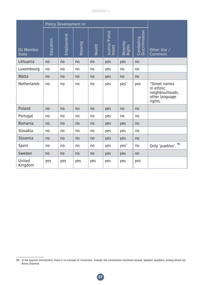|                                  | Policy Development in: |                |                |                |                          |                    |                             |                                                                            |
|----------------------------------|------------------------|----------------|----------------|----------------|--------------------------|--------------------|-----------------------------|----------------------------------------------------------------------------|
| <b>EU Member</b><br><b>State</b> | Education              | Employment     | <b>Housing</b> | Health         | Justice/Police<br>Issues | Minority<br>Rights | Combating<br>Discrimination | Other Use /<br>Comment                                                     |
| Lithuania                        | no                     | no             | no             | no             | yes                      | yes                | n <sub>0</sub>              |                                                                            |
| Luxembourg                       | no                     | no             | no             | no             | yes                      | no                 | no                          |                                                                            |
| Malta                            | n <sub>0</sub>         | n <sub>0</sub> | n <sub>0</sub> | no             | yes                      | n <sub>0</sub>     | no                          |                                                                            |
| Netherlands                      | no                     | no             | no             | no             | yes                      | yes <sup>*</sup>   | yes                         | *Street names<br>in ethnic<br>neighbourhoods,<br>other language<br>rights. |
| Poland                           | no                     | n <sub>0</sub> | no             | n <sub>o</sub> | yes                      | no                 | no                          |                                                                            |
| Portugal                         | no                     | no             | no             | no             | yes                      | no                 | no                          |                                                                            |
| Romania                          | n <sub>0</sub>         | no             | n <sub>0</sub> | no             | yes                      | yes                | n <sub>0</sub>              |                                                                            |
| Slovakia                         | no                     | no             | no             | no             | yes                      | yes                | no                          |                                                                            |
| Slovenia                         | n <sub>0</sub>         | no             | n <sub>o</sub> | n <sub>o</sub> | yes                      | yes                | n <sub>0</sub>              |                                                                            |
| Spain                            | no                     | no             | no             | no             | yes                      | yes <sup>*</sup>   | no                          | Only 'pueblos'. 90                                                         |
| Sweden                           | n <sub>0</sub>         | no             | no             | n <sub>0</sub> | yes                      | yes                | no                          |                                                                            |
| United<br>Kingdom                | yes                    | yes            | yes            | yes            | yes                      | yes                | yes                         |                                                                            |

<sup>90</sup> In the Spanish Constitution, there is no concept of 'minorities'. Instead, the Constitution mentions several 'peoples' (pueblos), among whom are Roma (Gitanos).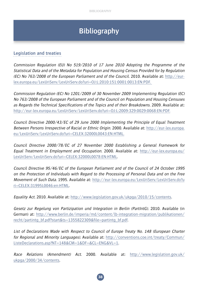# **Bibliography**

## **Legislation and treaties**

Commission Regulation (EU) No 519/2010 of 17 June 2010 Adopting the Programme of the Statistical Data and of the Metadata for Population and Housing Census Provided for by Regulation (EC) No 763/2008 of the European Parliament and of the Council. 2010. Available at: http://eurlex.europa.eu/LexUriServ/LexUriServ.do?uri=OJ:L:2010:151:0001:0013:EN:PDF.

Commission Regulation (EC) No 1201/2009 of 30 November 2009 Implementing Regulation (EC) No 763/2008 of the European Parliament and of the Council on Population and Housing Censuses as Regards the Technical Specifications of the Topics and of their Breakdowns. 2009. Available at: http://eur-lex.europa.eu/LexUriServ/LexUriServ.do?uri=OJ:L:2009:329:0029:0068:EN:PDF.

Council Directive 2000/43/EC of 29 June 2000 Implementing the Principle of Equal Treatment Between Persons Irrespective of Racial or Ethnic Origin. 2000. Available at: http://eur-lex.europa. eu/LexUriServ/LexUriServ.do?uri=CELEX:32000L0043:EN:HTML.

Council Directive 2000/78/EC of 27 November 2000 Establishing a General Framework for Equal Treatment in Employment and Occupation. 2000. Available at: http://eur-lex.europa.eu/ LexUriServ/LexUriServ.do?uri=CELEX:32000L0078:EN:HTML.

Council Directive 95/46/EC of the European Parliament and of the Council of 24 October 1995 on the Protection of Individuals with Regard to the Processing of Personal Data and on the Free Movement of Such Data. 1995. Available at: http://eur-lex.europa.eu/LexUriServ/LexUriServ.do?u ri=CELEX:31995L0046:en:HTML.

Equality Act. 2010. Available at: http://www.legislation.gov.uk/ukpga/2010/15/contents.

Gesetz zur Regelung von Partizipation und Integration in Berlin (PartIntG). 2010. Available (in German) at: http://www.berlin.de/imperia/md/content/lb-integration-migration/publikationen/ recht/partintg\_bf.pdf?start&ts=1355822309&file=partintg\_bf.pdf.

List of Declarations Made with Respect to Council of Europe Treaty No. 148 (European Charter for Regional and Minority Languages). Available at: http://conventions.coe.int/treaty/Commun/ ListeDeclarations.asp?NT=148&CM=1&DF=&CL=ENG&VL=1.

Race Relations (Amendment) Act. 2000. Available at: http://www.legislation.gov.uk/ ukpga/2000/34/contents.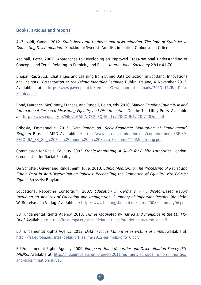# **Books, articles and reports**

Al-Zubaidi, Yaman. 2012. Statistikens roll i arbetet mot diskriminering (The Role of Statistics in Combating Discrimination). Stockholm: Swedish Antidiscrimination Ombudsman Office.

Aspinall, Peter. 2007. 'Approaches to Developing an Improved Cross-National Understanding of Concepts and Terms Relating to Ethnicity and Race'. International Sociology 22(1): 41-70.

Bhopal, Raj. 2013. 'Challenges and Learning from Ethnic Data Collection in Scotland: Innovations and Insights'. Presentation at the Ethnic Identifier Seminar, Dublin, Ireland, 4 November 2013. Available at: http://www.paveepoint.ie/tempsite3/wp-content/uploads/2013/11/Raj-Data-Seminar.pdf.

Bond, Laurence, McGinnity, Frances, and Russell, Helen, eds. 2010. Making Equality Count: Irish and International Research Measuring Equality and Discrimination. Dublin: The Liffey Press. Available at: http://www.equality.ie/Files/MAKING%20EQUALITY%20COUNT%20-%20Full.pdf.

Bribosia, Emmanuelle. 2013. First Report on 'Socio-Economic Monitoring of Employment'. Belgium. Brussels: MPG. Available at: http://www.non-discrimination.net/content/media/BE-89- BELGIUM\_FR\_89\_%20First%20report%20on%20Socio-Economic%20Monitoring.pdf.

Commission for Racial Equality. 2002. Ethnic Monitoring: A Guide for Public Authorities. London: Commission for Racial Equality.

De Schutter, Olivier and Ringelheim, Julie. 2010. Ethnic Monitoring: The Processing of Racial and Ethnic Data in Anti-Discrimination Policies: Reconciling the Promotion of Equality with Privacy Rights. Brussels: Bruylant.

Educational Reporting Consortium. 2007. Education in Germany: An Indicator-Based Report Including an Analysis of Education and Immigration. Summary of Important Results. Bielefeld: W. Bertelsmann Verlag. Available at: http://www.bildungsbericht.de/daten2008/summary06.pdf.

EU Fundamental Rights Agency. 2013. Crimes Motivated by Hatred and Prejudice in the EU: FRA Brief. Available at: http://fra.europa.eu/sites/default/files/fra-brief\_hatecrime\_en.pdf.

EU Fundamental Rights Agency. 2012. Data in focus: Minorities as victims of crime. Available at: http://fra.europa.eu/sites/default/files/fra-2012-eu-midis-dif6\_0.pdf.

EU Fundamental Rights Agency. 2009. European Union Minorities and Discrimination Survey (EU-MIDIS). Available at: http://fra.europa.eu/en/project/2011/eu-midis-european-union-minoritiesand-discrimination-survey.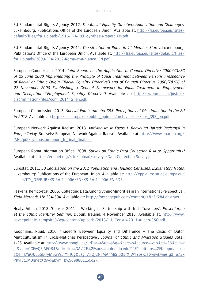EU Fundamental Rights Agency. 2012. The Racial Equality Directive: Application and Challenges. Luxembourg: Publications Office of the European Union. Available at: http://fra.europa.eu/sites/ default/files/fra\_uploads/1916-FRA-RED-synthesis-report\_EN.pdf.

EU Fundamental Rights Agency. 2011. The situation of Roma in 11 Member States. Luxembourg: Publications Office of the European Union. Available at: http://fra.europa.eu/sites/default/files/ fra\_uploads/2099-FRA-2012-Roma-at-a-glance\_EN.pdf.

European Commission. 2014. Joint Report on the Application of Council Directive 2000/43/EC of 29 June 2000 Implementing the Principle of Equal Treatment between Persons Irrespective of Racial or Ethnic Origin ('Racial Equality Directive') and of Council Directive 2000/78/EC of 27 November 2000 Establishing a General Framework for Equal Treatment in Employment and Occupation ('Employment Equality Directive'). Available at: http://ec.europa.eu/justice/ discrimination/files/com\_2014\_2\_en.pdf.

European Commission. 2013. Special Eurobarometer 393: Perceptions of Discrimination in the EU in 2012. Available at: http://ec.europa.eu/public\_opinion/archives/ebs/ebs\_393\_en.pdf.

European Network Against Racism. 2013. Anti-racism in Focus 1. Recycling Hatred: Racism(s) in Europe Today. Brussels: European Network Against Racism. Available at: http://www.enar-eu.org/ IMG/pdf/symposiumreport\_lr\_final\_final.pdf.

European Roma Information Office. 2008. Survey on Ethnic Data Collection Risk or Opportunity? Available at: http://erionet.org/site/upload/surveys/Data Collection Survey.pdf.

Eurostat. 2011. EU Legislation on the 2011 Population and Housing Censuses. Explanatory Notes. Luxembourg: Publications of the European Union. Available at: http://epp.eurostat.ec.europa.eu/ cache/ITY\_OFFPUB/KS-RA-11-006/EN/KS-RA-11-006-EN.PDF.

Feskens, Remco et al. 2006. 'Collecting Data Among Ethnic Minorities in an International Perspective'. Field Methods 18: 284-304. Available at: http://fmx.sagepub.com/content/18/3/284.abstract.

Healy, Aileen. 2013. 'Census 2011 – Working in Partnership with Irish Travellers'. Presentation at the Ethnic Identifier Seminar, Dublin, Ireland, 4 November 2013. Available at: http://www. paveepoint.ie/tempsite3/wp-content/uploads/2013/11/Census-2011-Aileen-CSO.pdf.

Koopmans, Ruud. 2010. 'Tradeoffs Between Equality and Difference – The Crisis of Dutch Multiculturalism in Cross-National Perspective'. Journal of Ethnic and Migration Studies 36(1): 1-26. Available at: http://www.google.es/url?sa=t&rct=j&q=&esrc=s&source=web&cd=36&cad=r ja&ved=0CFwQFjAFOB4&url=http%3A%2F%2Fsocsci.colorado.edu%2F~smithms%2FKoopmans.do c&ei=LYuOUuSSD4yM0wW5rYHICg&usg=AFQjCNFMAnMjSl501rXjWY9bsKJatwgwkw&sig2=e73k PRvISt1M0gnetXt6yg&bvm=bv.56988011,d.d2k.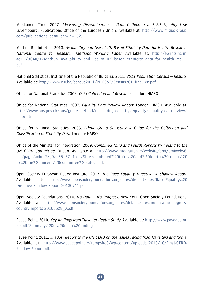Makkonen, Timo. 2007. Measuring Discrimination – Data Collection and EU Equality Law. Luxembourg: Publications Office of the European Union. Available at: http://www.migpolgroup. com/publications\_detail.php?id=162.

Mathur, Rohini et al. 2013. Availability and Use of UK Based Ethnicity Data for Health Research. National Centre for Research Methods Working Paper. Available at: http://eprints.ncrm. ac.uk/3040/1/Mathur-\_Availability\_and\_use\_of\_UK\_based\_ethnicity\_data\_for\_health\_res\_1. pdf.

National Statistical Institute of the Republic of Bulgaria. 2011. 2011 Population Census – Results. Available at: http://www.nsi.bg/census2011/PDOCS2/Census2011final\_en.pdf.

Office for National Statistics. 2008. Data Collection and Research. London: HMSO.

Office for National Statistics. 2007. Equality Data Review Report. London: HMSO. Available at: http://www.ons.gov.uk/ons/guide-method/measuring-equality/equality/equality-data-review/ index.html.

Office for National Statistics. 2003. Ethnic Group Statistics: A Guide for the Collection and Classification of Ethnicity Data. London: HMSO.

Office of the Minister for Integration. 2009. Combined Third and Fourth Reports by Ireland to the UN CERD Committee. Dublin. Available at: http://www.integration.ie/website/omi/omiwebv6. nsf/page/axbn-7zlj9z13515711-en/\$file/combined%20third%20and%20fourth%20report%20 to%20the%20uncerd%20committee%20latest.pdf.

Open Society European Policy Institute. 2013. The Race Equality Directive: A Shadow Report. Available at: http://www.opensocietyfoundations.org/sites/default/files/Race-Equality%20 Directive-Shadow-Report-20130711.pdf.

Open Society Foundations. 2010. No Data - No Progress. New York: Open Society Foundations. Available at: http://www.opensocietyfoundations.org/sites/default/files/no-data-no-progresscountry-reports-20100628\_0.pdf.

Pavee Point. 2010. Key findings from Traveller Health Study. Available at: http://www.paveepoint. ie/pdf/Summary%20of%20main%20findings.pdf.

Pavee Point. 2011. Shadow Report to the UN CERD on the Issues Facing Irish Travellers and Roma. Available at: http://www.paveepoint.ie/tempsite3/wp-content/uploads/2013/10/Final-CERD-Shadow-Report.pdf.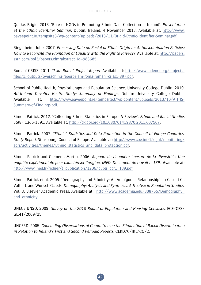Quirke, Brigid. 2013. 'Role of NGOs in Promoting Ethnic Data Collection in Ireland'. Presentation at the Ethnic Identifier Seminar, Dublin, Ireland, 4 November 2013. Available at: http://www. paveepoint.ie/tempsite3/wp-content/uploads/2013/11/Brigid-Ethnic-Identifier-Seminar.pdf.

Ringelheim, Julie. 2007. Processing Data on Racial or Ethnic Origin for Antidiscrimination Policies: How to Reconcile the Promotion of Equality with the Right to Privacy? Available at: http://papers. ssrn.com/sol3/papers.cfm?abstract\_id=983685.

Romani CRISS. 2011. "I am Roma" Project Report. Available at: http://www.ludenet.org/projectsfiles/1/outputs/overaching-report-i-am-roma-romani-criss1-897.pdf.

School of Public Health, Physiotherapy and Population Science, University College Dublin. 2010. All-Ireland Traveller Health Study: Summary of Findings. Dublin: University College Dublin. Available at: http://www.paveepoint.ie/tempsite3/wp-content/uploads/2013/10/AITHS-Summary-of-Findings.pdf.

Simon, Patrick. 2012. 'Collecting Ethnic Statistics in Europe: A Review'. Ethnic and Racial Studies 35(8): 1366-1391. Available at: http://dx.doi.org/10.1080/01419870.2011.607507.

Simon, Patrick. 2007. "Ethnic" Statistics and Data Protection in the Council of Europe Countries. Study Report. Strasbourg: Council of Europe. Available at: http://www.coe.int/t/dghl/monitoring/ ecri/activities/themes/Ethnic\_statistics\_and\_data\_protection.pdf.

Simon, Patrick and Clement, Martin. 2006. Rapport de l'enquête 'mesure de la diversité' : Une enquête expérimentale pour caractériser l'origine. INED, Document de travail n°139. Available at: http://www.ined.fr/fichier/t\_publication/1206/publi\_pdf1\_139.pdf.

Simon, Patrick et al. 2005. 'Demography and Ethnicity: An Ambiguous Relationship'. In Caselli G., Vallin J. and Wunsch G., eds. Demography: Analysis and Synthesis. A Treatise in Population Studies. Vol. 3. Elsevier Academic Press. Available at: http://www.academia.edu/808755/Demography\_ and\_ethnicity

UNECE-UNSD. 2009. Survey on the 2010 Round of Population and Housing Censuses, ECE/CES/ GE.41/2009/25.

UNCERD. 2005. Concluding Observations of Committee on the Elimination of Racial Discrimination in Relation to Ireland's First and Second Periodic Reports, CERD/C/IRL/CO/2.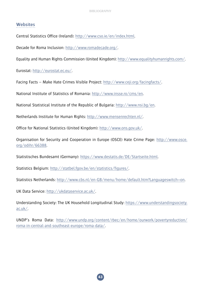## **Websites**

Central Statistics Office (Ireland): http://www.cso.ie/en/index.html.

Decade for Roma Inclusion: http://www.romadecade.org/.

Equality and Human Rights Commission (United Kingdom): http://www.equalityhumanrights.com/.

Eurostat: http://eurostat.ec.eu/.

Facing Facts – Make Hate Crimes Visible Project: http://www.ceji.org/facingfacts/.

National Institute of Statistics of Romania: http://www.insse.ro/cms/en.

National Statistical Institute of the Republic of Bulgaria: http://www.nsi.bg/en.

Netherlands Institute for Human Rights: http://www.mensenrechten.nl/.

Office for National Statistics (United Kingdom): http://www.ons.gov.uk/.

Organisation for Security and Cooperation in Europe (OSCE) Hate Crime Page: http://www.osce. org/odihr/66388.

Statistisches Bundesamt (Germany): https://www.destatis.de/DE/Startseite.html.

Statistics Belgium: http://statbel.fgov.be/en/statistics/figures/.

Statistics Netherlands: http://www.cbs.nl/en-GB/menu/home/default.htm?Languageswitch=on.

UK Data Service: http://ukdataservice.ac.uk/.

Understanding Society: The UK Household Longitudinal Study: https://www.understandingsociety. ac.uk/.

UNDP's Roma Data: http://www.undp.org/content/rbec/en/home/ourwork/povertyreduction/ roma-in-central-and-southeast-europe/roma-data/.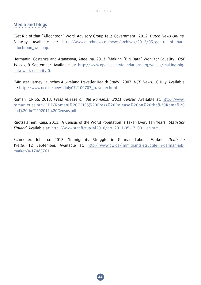## **Media and blogs**

'Get Rid of that "Allochtoon" Word, Advisory Group Tells Government'. 2012. Dutch News Online, 8 May. Available at: http://www.dutchnews.nl/news/archives/2012/05/get rid of that allochtoon\_wor.php.

Hermanin, Costanza and Atanasova, Angelina. 2013. 'Making "Big Data" Work for Equality'. OSF Voices, 9 September. Available at: http://www.opensocietyfoundations.org/voices/making-bigdata-work-equality-0.

'Minister Harney Launches All-Ireland Traveller Health Study'. 2007. UCD News, 10 July. Available at: http://www.ucd.ie/news/july07/100707\_traveller.html.

Romani CRISS. 2013. Press release on the Romanian 2011 Census. Available at: http://www. romanicriss.org/PDF/Romani%20CRISS%20Press%20Release%20on%20the%20Roma%20 and%20the%202011%20Census.pdf.

Ruotsalainen, Kaija. 2011. 'A Census of the World Population is Taken Every Ten Years'. Statistics Finland. Available at: http://www.stat.fi/tup/vl2010/art\_2011-05-17\_001\_en.html.

Schmeller, Johanna. 2013. 'Immigrants Struggle in German Labour Market'. Deutsche Welle, 12 September. Available at: http://www.dw.de/immigrants-struggle-in-german-jobmarket/a-17083761.